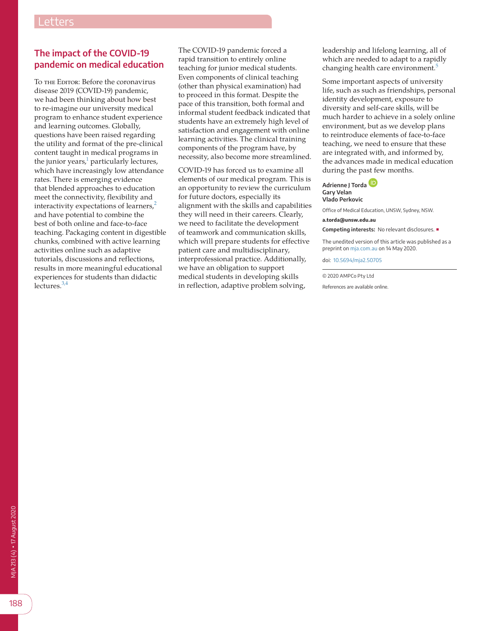## **The impact of the COVID-19 pandemic on medical education**

To THE EDITOR: Before the coronavirus disease 2019 (COVID-19) pandemic, we had been thinking about how best to re-imagine our university medical program to enhance student experience and learning outcomes. Globally, questions have been raised regarding the utility and format of the pre-clinical content taught in medical programs in the junior years,<sup>1</sup> particularly lectures, which have increasingly low attendance rates. There is emerging evidence that blended approaches to education meet the connectivity, flexibility and interactivity expectations of learners,<sup>[2](#page-1-1)</sup> and have potential to combine the best of both online and face-to-face teaching. Packaging content in digestible chunks, combined with active learning activities online such as adaptive tutorials, discussions and reflections, results in more meaningful educational experiences for students than didactic lectures. $3,4$ 

The COVID-19 pandemic forced a rapid transition to entirely online teaching for junior medical students. Even components of clinical teaching (other than physical examination) had to proceed in this format. Despite the pace of this transition, both formal and informal student feedback indicated that students have an extremely high level of satisfaction and engagement with online learning activities. The clinical training components of the program have, by necessity, also become more streamlined.

COVID-19 has forced us to examine all elements of our medical program. This is an opportunity to review the curriculum for future doctors, especially its alignment with the skills and capabilities they will need in their careers. Clearly, we need to facilitate the development of teamwork and communication skills, which will prepare students for effective patient care and multidisciplinary, interprofessional practice. Additionally, we have an obligation to support medical students in developing skills in reflection, adaptive problem solving,

leadership and lifelong learning, all of which are needed to adapt to a rapidly changing health care environment.<sup>[5](#page-1-3)</sup>

Some important aspects of university life, such as such as friendships, personal identity development, exposure to diversity and self-care skills, will be much harder to achieve in a solely online environment, but as we develop plans to reintroduce elements of face-to-face teaching, we need to ensure that these are integrated with, and informed by, the advances made in medical education during the past few months.

## **Adrienne J Tord[a](https://orcid.org/0000-0003-4154-6459) Gary Velan Vlado Perkovic**

Office of Medical Education, UNSW, Sydney, NSW.

## **a.torda@unsw.edu.au**

**Competing interests:** No relevant disclosures. ■

The unedited version of this article was published as a preprint on [mja.com.au](http://mja.com.au) on 14 May 2020.

doi: [10.5694/mja2.50705](https://doi.org/10.5694/mja2.50705)

© 2020 AMPCo Pty Ltd

References are available online.